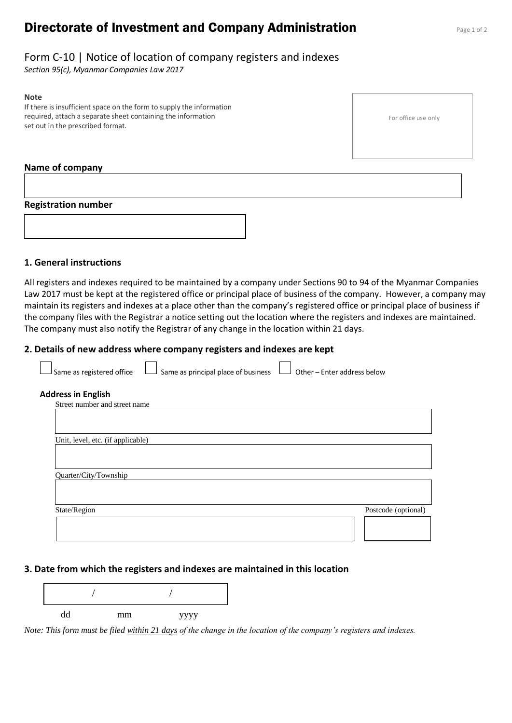# **Directorate of Investment and Company Administration** Page 1 of 2

## Form C-10 | Notice of location of company registers and indexes

*Section 95(c), Myanmar Companies Law 2017*

#### **Note**

If there is insufficient space on the form to supply the information required, attach a separate sheet containing the information set out in the prescribed format.

### **Name of company**

#### **Registration number**



### **1. General instructions**

All registers and indexes required to be maintained by a company under Sections 90 to 94 of the Myanmar Companies Law 2017 must be kept at the registered office or principal place of business of the company. However, a company may maintain its registers and indexes at a place other than the company's registered office or principal place of business if the company files with the Registrar a notice setting out the location where the registers and indexes are maintained. The company must also notify the Registrar of any change in the location within 21 days.

#### **2. Details of new address where company registers and indexes are kept**

| Same as registered office                                  | Same as principal place of business | Other - Enter address below |
|------------------------------------------------------------|-------------------------------------|-----------------------------|
| <b>Address in English</b><br>Street number and street name |                                     |                             |
|                                                            |                                     |                             |
| Unit, level, etc. (if applicable)                          |                                     |                             |
| Quarter/City/Township                                      |                                     |                             |
|                                                            |                                     |                             |
| State/Region                                               |                                     | Postcode (optional)         |
|                                                            |                                     |                             |

#### **3. Date from which the registers and indexes are maintained in this location**

| dd | mm | уууу |
|----|----|------|

*Note: This form must be filed within 21 days of the change in the location of the company's registers and indexes.*

For office use only